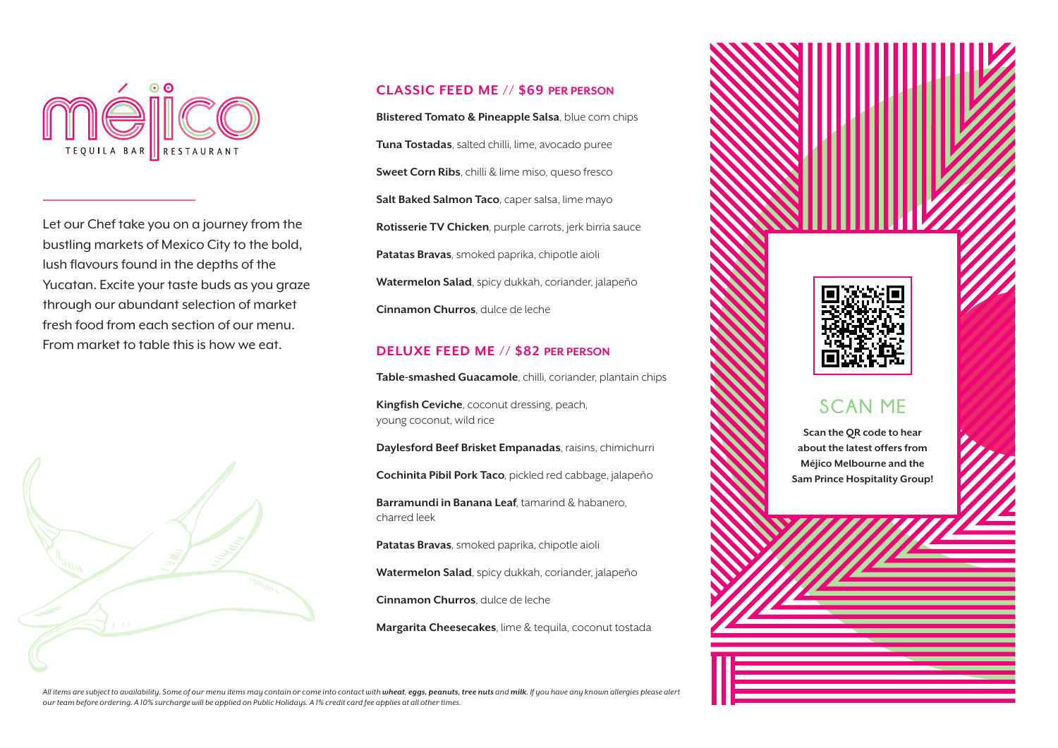

Let our Chef take you on a journey from the bustling markets of Mexico City to the bold, lush flavours found in the depths of the Yucatan. Excite your taste buds as you graze through our abundant selection of market fresh food from each section of our menu. From market to table this is how we eat.



#### **CLASSIC FEED ME // \$69 PER PERSON**

**Blistered Tomato & Pineapple Salsa**, blue corn chips **Tuna Tostadas**, salted chilli, lime, avocado puree **Sweet Corn Ribs**, chilli & lime miso, queso fresco **Salt Baked Salmon Taco**, caper salsa, lime mayo **Rotisserie TV Chicken**, purple carrots, jerk birria sauce **Patatas Bravas**, smoked paprika, chipotle aioli **Watermelon Salad**, spicy dukkah, coriander, jalapeño **Cinnamon Churros**, dulce de leche

#### **DELUXE FEED ME // \$82 PER PERSON**

**Table-smashed Guacamole**, chilli, coriander, plantain chips

**Kingfish Ceviche**, coconut dressing, peach, young coconut, wild rice

**Daylesford Beef Brisket Empanadas**, raisins, chimichurri

**Cochinita Pibil Pork Taco**, pickled red cabbage, jalapeño

**Barramundi in Banana Leaf**, tamarind & habanero, charred leek

**Patatas Bravas**, smoked paprika, chipotle aioli

**Watermelon Salad**, spicy dukkah, coriander, jalapeño

**Cinnamon Churros**, dulce de leche

**Margarita Cheesecakes**, lime & tequila, coconut tostada



**Sam Prince Hospitality Group!**

All items are subject to availability. Some of our menu items may contain or come into contact with wheat, eqgs, peanuts, tree nuts and milk. If you have any known allergies please alert *our team before ordering. A 10% surcharge will be applied on Public Holidays. A 1% credit card fee applies at all other times.*